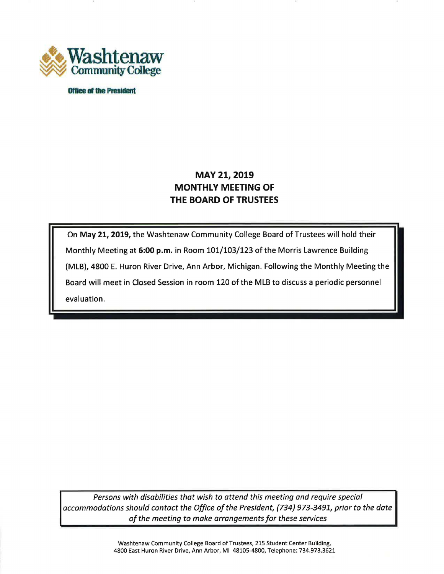

**Office of the President** 

# **MAY 21, 2019 MONTHLY MEETING OF THE BOARD OF TRUSTEES**

On **May 21, 2019,** the Washtenaw Community College Board of Trustees will hold their Monthly Meeting at **6:00 p.m.** in Room 101/103/123 of the Morris Lawrence Building (MLB), 4800 E. Huron River Drive, Ann Arbor, Michigan. Following the Monthly Meeting the Board will meet in Closed Session in room 120 of the MLB to discuss a periodic personnel evaluation.

*Persons with disabilities that wish to attend this meeting and require special accommodations should contact the Office of the President, (734} 973-3491, prior to the date of the meeting to make arrangements for these services* 

> Washtenaw Community College Board of Trustees, 215 Student Center Building, 4800 East Huron River Drive, Ann Arbor, Ml 48105-4800, Telephone: 734.973.3621